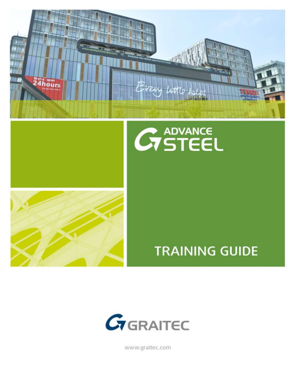





# **TRAINING GUIDE**



www.graitec.com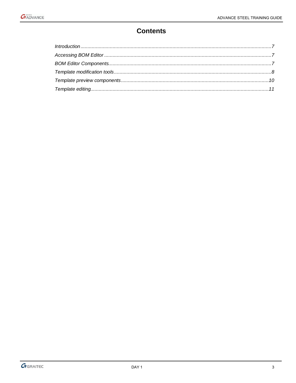# **Contents**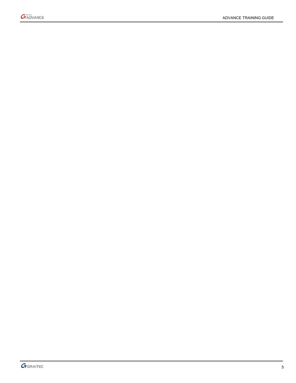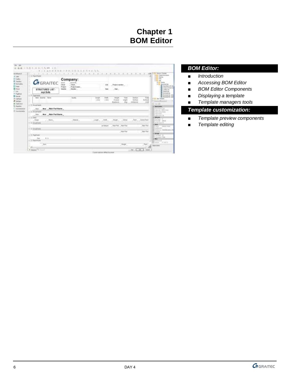| <b><i>C</i>T</b> GRAITEC<br><b><i>STRUCTURED LIST -</i></b>   | $\frac{1}{100}$<br>Pinjeri<br><b>Elekantus</b> | Company:<br><b>Brigad Mo.</b><br>Client.<br>Project same.<br><b>Hotels</b> |               | <b>AB</b><br><b>Yield</b>         | Project number<br>Links              |                         |                                            | \$1.000 ROM<br><b>STEP SAY</b>                                                                 |
|---------------------------------------------------------------|------------------------------------------------|----------------------------------------------------------------------------|---------------|-----------------------------------|--------------------------------------|-------------------------|--------------------------------------------|------------------------------------------------------------------------------------------------|
| must Bolts                                                    |                                                |                                                                            |               |                                   |                                      |                         |                                            |                                                                                                |
| to 13 Page 1940<br>Mary Steams Boom<br>×                      |                                                | <b>TENNIS</b>                                                              | Leisult<br>in | <b>COL</b><br>c mes               | <b>Policia</b><br>of pages<br>Palmin | Viis<br>skight<br>Fe.   | <b>Bushine</b><br>forms<br><b>WATERLIN</b> | ۳Э<br>10.85 les touses<br><b>Built</b> ing<br><b>I</b><br>$\frac{1}{2}$                        |
| - Il broatmake                                                |                                                |                                                                            |               |                                   |                                      |                         | an an an A                                 | 510世<br>L'Appointment                                                                          |
| Mon., Main PartNerw.,<br>Matri                                |                                                |                                                                            |               |                                   |                                      |                         |                                            | <b>Sharfward See</b><br>meter 173 tons                                                         |
| 11 It Westman<br><b>Han</b><br>Moto _ Madri Part Name _<br>÷  |                                                |                                                                            |               |                                   |                                      |                         |                                            | ES.                                                                                            |
| <b>CELENCE</b><br><b>Sides</b><br>2.000.<br>$= 12.9$ supports |                                                | 10000                                                                      |               | $1450^{\circ}$ , $1550^{\circ}$ , | $-$ Finger $ -$ 1400 m               |                         |                                            | <b>CRAIN</b><br>Andraw,<br>.Fan.; Greefart<br><b>Scientists</b><br><b>Student and and Call</b> |
| ٠                                                             |                                                |                                                                            |               | <b>JAY FIREVIEW</b>               |                                      | High Figs. - High Fight |                                            | $A$ Base<br>Man Furt<br><b>Color</b><br><b>Laurence</b><br><b>COLL</b>                         |
| $=$ $\Omega$ (instant                                         |                                                |                                                                            |               |                                   |                                      | <b>Han Fan</b>          |                                            | <b>CONTRACTOR</b><br>-----<br>Man Fut<br><b>Carl Ford</b>                                      |
| of 10 PapPoon                                                 |                                                |                                                                            |               |                                   |                                      |                         |                                            | 4 Books<br><b>STAR</b><br><b>SCHOOL TIME</b>                                                   |
|                                                               |                                                |                                                                            |               |                                   |                                      |                         |                                            |                                                                                                |

## *BOM Editor:*

- *Introduction*
- *Accessing BOM Editor*
- *BOM Editor Components*
- *Displaying a template*
- *Template managers tools*

## *Template customization:*

- *Template preview components*
- *Template editing*

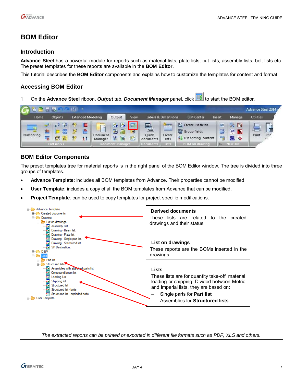## **BOM Editor**

#### <span id="page-6-0"></span>**Introduction**

**Advance Steel** has a powerful module for reports such as material lists, plate lists, cut lists, assembly lists, bolt lists etc. The preset templates for these reports are available in the **BOM Editor**.

This tutorial describes the **BOM Editor** components and explains how to customize the templates for content and format.

#### <span id="page-6-1"></span>**Accessing BOM Editor**

1. On the Advance Steel ribbon, *Output* tab, *Document Manager* panel, click **the start the BOM editor.** 

| <b>Section</b>                                                                   | <b>IET</b>                                               | 亳<br>ll <del>e</del>                                                    |                     |                               |             |                                 |                        |                                                            |                                               |                                    | Advance Steel 2014 |
|----------------------------------------------------------------------------------|----------------------------------------------------------|-------------------------------------------------------------------------|---------------------|-------------------------------|-------------|---------------------------------|------------------------|------------------------------------------------------------|-----------------------------------------------|------------------------------------|--------------------|
| Home                                                                             | Objects                                                  | <b>Extended Modeling</b>                                                |                     | Output                        | View        |                                 | Labels & Dimensions    | <b>BIM Center</b>                                          | Insert                                        | Manage                             | <b>Utilities</b>   |
| Ŵ<br>$\frac{g}{2}$<br>$\frac{100}{100}$<br>Numbering<br>$\overline{\phantom{a}}$ | $\mathbb{H}^3$<br>室<br>$\frac{212}{313}$ $\frac{12}{34}$ | 3/3<br>$\frac{3\sqrt{3}}{25}$<br>ļВ.<br>$\frac{3}{2}$<br>f <sup>2</sup> | Document<br>Manager | S.<br>5,<br>縣<br>t.<br>曦<br>乘 | E<br>哮<br>匾 | e.<br>DWG<br>Quick<br>documents | ÎI.<br>Create<br>lists | Create list fields<br>Group fields<br>List sorting content | <b>NC</b><br>$rac{DN}{N}$<br>$\frac{BCm}{12}$ | М<br>噪<br><b>CAN THE</b><br>飍<br>G | Æ<br>Print<br>Prir |
|                                                                                  | Part marks                                               |                                                                         |                     | Document Manager              |             | Documents                       | Lists                  | <b>BOM</b> on drawing                                      | 隘                                             | <b>NC&amp;DXF</b>                  |                    |

#### <span id="page-6-2"></span>**BOM Editor Components**

The preset templates tree for material reports is in the right panel of the BOM Editor window. The tree is divided into three groups of templates.

- **Advance Template**: includes all BOM templates from Advance. Their properties cannot be modified.
- **User Template**: includes a copy of all the BOM templates from Advance that can be modified.
- **Project Template**: can be used to copy templates for project specific modifications.



*The extracted reports can be printed or exported in different file formats such as PDF, XLS and others.*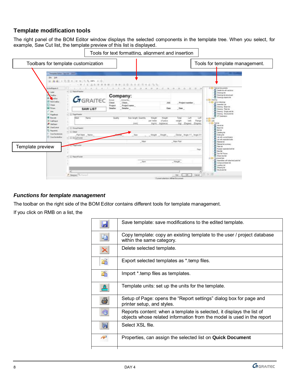### <span id="page-7-0"></span>**Template modification tools**

The right panel of the BOM Editor window displays the selected components in the template tree. When you select, for example, Saw Cut list, the template preview of this list is displayed.

|                                                                                                                                                                    |                                      | Tools for text formatting, alignment and insertion                                                                        |                                                                                               |                                                                                                            |                                                                                                                                                                                                                                            |
|--------------------------------------------------------------------------------------------------------------------------------------------------------------------|--------------------------------------|---------------------------------------------------------------------------------------------------------------------------|-----------------------------------------------------------------------------------------------|------------------------------------------------------------------------------------------------------------|--------------------------------------------------------------------------------------------------------------------------------------------------------------------------------------------------------------------------------------------|
| Toolbars for template customization                                                                                                                                |                                      |                                                                                                                           |                                                                                               |                                                                                                            | Tools for template management.                                                                                                                                                                                                             |
| Turqiyla birlor (Saw tot - 2002)<br>the bit<br>14 香草<br>in Greingaste S<br>~ IE ReportFleeded<br>5.186<br><b>Technol</b>                                           | 田三先 横 耕作 天空                          |                                                                                                                           |                                                                                               | (種かから細くの)図かって探しとお願いとお願いとも聞いても聞いても細いとと様々でに聞いても聞いても聞いても詳いしも解                                                 | Denver documents<br>信安<br><b>CE Deals for with eachers</b><br><b>C</b> Drawing he<br>Ein Drewings lat situatured                                                                                                                           |
| <b>Spinster</b><br><b>Following</b><br><b>C</b> Steel<br><b>WE Picker</b><br>7.106<br>$= 100$ Page Header<br><sup>N</sup> : Figsbeat<br><b>E Easter</b><br>3/sets  | <b><i>C</i>y</b> GRAITEC<br>SAW LIST | Company:<br>fixtud<br>Pubscille<br>Clert<br>Clest<br>Project rules<br>Project<br>Detailer<br>Detailer<br>San angh Guartty | Job:<br><b>Date</b>                                                                           | Project number<br>Dote                                                                                     | <b>CE</b> Disnings daects lat<br><b>Light Stevens</b><br>II-25 List on develop<br>Femanists (Let<br>Drawing - Bearclist<br>Drawing - Rake Ins<br><b>Device-Trole part 16</b><br>윭<br>Drawing - Structured Int<br>3 <sup>6</sup> Dealmatted |
| 3 Laffrock<br><b>P Didget</b><br><b>W. DarConsi</b><br>$=$ $\Box$ Generated<br>To Facement<br>$= 12.004$<br>Deiderietier<br><b>C</b> Destectories<br>- El Goughand | Name<br><b>Pat Mak Nane</b>          | Guilty<br>(ewi)<br>Sau                                                                                                    | Freight<br>Warght.<br>of siete<br>just stated<br>Agirti Rigipació<br>Weight.<br><b>Weight</b> | Total<br><b>Saft</b><br>Laff<br>Flarge<br>usight<br>ueb<br>that Corpus) Dognat<br>Global Angle V1 Angle X1 | 4 85 9 9 1<br><b>BY JPR Seles</b><br>日初<br><b>Patie</b><br>용신다<br><b>G</b> Act is<br><b>CE Cantingler</b><br><b>C</b> Gardie<br><b>Definition of Looking</b>                                                                               |
| Template preview<br><b><i><u>Geneville Internation</u></i></b>                                                                                                     |                                      | Man                                                                                                                       |                                                                                               | <b>Arau Part</b><br><b>Tegs</b>                                                                            | <b>EX Lat with applicant both</b><br>Material Inc.<br>or Material list screeney<br><b>El Hastat</b><br>Flutener solphoted book fair<br>Saw bit.<br>×<br><b>Saw be Posue</b><br><b>Teachidat</b><br><b>PHOTO Standard Sale</b>              |
| $\bullet$<br>P. Seigne Dis Konne                                                                                                                                   |                                      | <b>Bart</b>                                                                                                               | Current selection/ARIAK Discussed                                                             | Weght.<br>Cave.<br>1 km<br>DK                                                                              | a Teamtlier with attached parts for<br>Constructions for<br><b>Control of</b><br>Controler<br>a<br><b>Stuck on Fig.</b>                                                                                                                    |

#### *Functions for template management*

The toolbar on the right side of the BOM Editor contains different tools for template management.

If you click on RMB on a list, the

|   | Save template: save modifications to the edited template.                                                                                       |
|---|-------------------------------------------------------------------------------------------------------------------------------------------------|
|   | Copy template: copy an existing template to the user / project database<br>within the same category.                                            |
|   | Delete selected template.                                                                                                                       |
|   | Export selected templates as *.temp files.                                                                                                      |
|   | Import *.temp files as templates.                                                                                                               |
| 흢 | Template units: set up the units for the template.                                                                                              |
|   | Setup of Page: opens the "Report settings" dialog box for page and<br>printer setup, and styles.                                                |
|   | Reports content: when a template is selected, it displays the list of<br>objects whose related information from the model is used in the report |
| 圖 | Select XSL file.                                                                                                                                |
|   | Properties, can assign the selected list on Quick Document                                                                                      |
|   |                                                                                                                                                 |

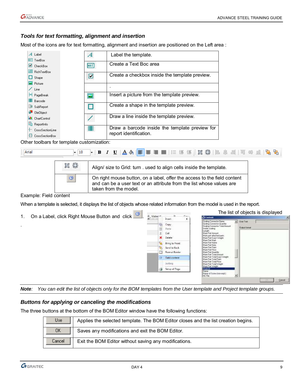#### *Tools for text formatting, alignment and insertion*

Most of the icons are for text formatting, alignment and insertion are positioned on the Left area :

| $A$ Label                                  |     | Label the template.                            |
|--------------------------------------------|-----|------------------------------------------------|
| abx TextBox                                |     | Create a Text Boc area                         |
| $\triangleright$ CheckBox<br>4 RichTextBox | abX |                                                |
| П<br>Shape                                 | ☑   | Create a checkbox inside the template preview. |
| Picture                                    |     | ٠                                              |
| $\angle$ Line                              |     |                                                |
| <b>H</b> PageBreak                         | ps. | Insert a picture from the template preview.    |
| <b>III</b> Barcode                         |     |                                                |
| SubReport                                  |     | Create a shape in the template preview.        |
| O OleObject                                |     |                                                |
| <b>III</b> ChartControl                    |     | Draw a line inside the template preview.       |
| 甌<br>ReportInfo                            |     |                                                |
| " <sup>I</sup> "" CrossSectionLine         |     | Draw a barcode inside the template preview for |
| <b>All CrossSectionBox</b>                 |     | report identification.                         |

Other toolbars for template customization:

| 其 计            | Align/ size to Grid: turn . used to align cells inside the template.                                                                                                       |  |
|----------------|----------------------------------------------------------------------------------------------------------------------------------------------------------------------------|--|
| $\circledcirc$ | On right mouse button, on a label, offer the access to the field content<br>and can be a user text or an attribute from the list whose values are<br>taken from the model. |  |

#### Example: Field content

.

Arial

When a template is selected, it displays the list of objects whose related information from the model is used in the report.

1. On a Label, click Right Mouse Button and click **1** 



*Note: You can edit the list of objects only for the BOM templates from the User template and Project template groups.* 

#### *Buttons for applying or canceling the modifications*

The three buttons at the bottom of the BOM Editor window have the following functions:

| Use    | Applies the selected template. The BOM Editor closes and the list creation begins. |
|--------|------------------------------------------------------------------------------------|
| OΚ     | Saves any modifications and exit the BOM Editor.                                   |
| Cancel | Exit the BOM Editor without saving any modifications.                              |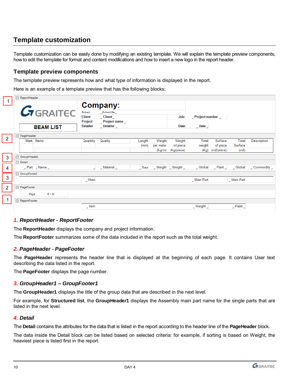# **Template customization**

Template customization can be easily done by modifying an existing template. We will explain the template preview components, how to edit the template for format and content modifications and how to insert a new logo in the report header.

#### <span id="page-9-0"></span>**Template preview components**

The template preview represents how and what type of information is displayed in the report.

Here is an example of a template preview that has the following blocks:

|                     | □ ReportHeader          |                                     |                    |        |           |                             |                    |            |                             |               |
|---------------------|-------------------------|-------------------------------------|--------------------|--------|-----------|-----------------------------|--------------------|------------|-----------------------------|---------------|
| $\overline{1}$      | <b><i>G</i></b> GRAITEC | Company:<br>Extract<br>Extract file |                    |        |           |                             |                    |            |                             |               |
|                     |                         | <b>Client</b>                       | <b>Client</b>      |        |           | Job:                        | _ Project number _ |            |                             |               |
|                     |                         | Project                             | _ Project name _   |        |           |                             |                    |            |                             |               |
|                     | <b>BEAM LIST</b>        | <b>Detailer</b>                     | _Detailer _        |        |           | <b>Date</b>                 | $\_$ Date $\_$     |            |                             |               |
|                     | PageHeader<br>$\Box$    |                                     |                    |        |           |                             |                    |            |                             |               |
| $\overline{2}$      | Mark Name               | Quantity                            | Quality            | Length | Weight    | Weight                      | Total              | Surface    | Total                       | Description   |
|                     |                         |                                     |                    | (mm)   | per meter | of piece                    | weight             | of piece   | Surface                     |               |
|                     |                         |                                     |                    |        | (Kg/m)    | (Kg/piece)                  | (Kg)               | (m2/piece) | (m2)                        |               |
| $\mathbf{3}$        | □ GroupHeade1           |                                     |                    |        |           |                             |                    |            |                             |               |
|                     | $\Box$ Detail           |                                     |                    |        |           |                             |                    |            |                             |               |
| $\overline{4}$      | _ Part _ Name _         |                                     | $\_$ Material $\_$ |        |           | _ Saw _ _ Weight _ Weight _ |                    |            | _ Global _ Paint _ _ Global | _ Commodity _ |
|                     | □ GroupFoote1           |                                     |                    |        |           |                             |                    |            |                             |               |
| $\overline{3}$<br>═ |                         | $\_$ Main                           |                    |        |           |                             | _ Main Part        |            | _ Main Part                 |               |
| $\overline{2}$      | □ PageFooter            |                                     |                    |        |           |                             |                    |            |                             |               |
|                     | # $/10$<br>Page         |                                     |                    |        |           |                             |                    |            |                             |               |
| $\overline{1}$      | □ ReportFooter          |                                     |                    |        |           |                             |                    |            |                             |               |
|                     |                         | $\_$ Item                           |                    |        |           |                             | $\_$ Weight $\_$   |            | Paint                       |               |

#### *1. ReportHeader - ReportFooter*

The **ReportHeader** displays the company and project information.

The **ReportFooter** summarizes some of the data included in the report such as the total weight.

#### *2. PageHeader - PageFooter*

The **PageHeader** represents the header line that is displayed at the beginning of each page. It contains User text describing the data listed in the report.

The **PageFooter** displays the page number.

#### *3. GroupHeader1 – GroupFooter1*

The **GroupHeader1** displays the title of the group data that are described in the next level.

For example, for **Structured list**, the **GroupHeader1** displays the Assembly main part name for the single parts that are listed in the next level.

#### *4. Detail*

The **Detail** contains the attributes for the data that is listed in the report according to the header line of the **PageHeader** block.

The data inside the Detail block can be listed based on selected criteria: for example, if sorting is based on Weight, the heaviest piece is listed first in the report.

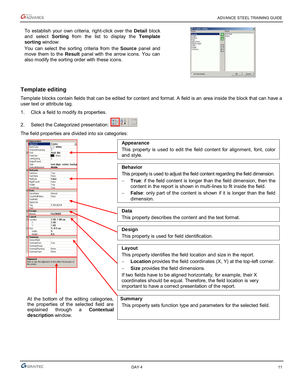To establish your own criteria, right-click over the **Detail** block and select **Sorting** from the list to display the **Template sorting** window:

You can select the sorting criteria from the **Source** panel and move them to the **Result** panel with the arrow icons. You can also modify the sorting order with these icons.



#### <span id="page-10-0"></span>**Template editing**

Template blocks contain fields that can be edited for content and format. A field is an area inside the block that can have a user text or attribute tag.

- 1. Click a field to modify its properties.
- 2. Select the Categorized presentation:  $\frac{1}{2}$



The field properties are divided into six categories:

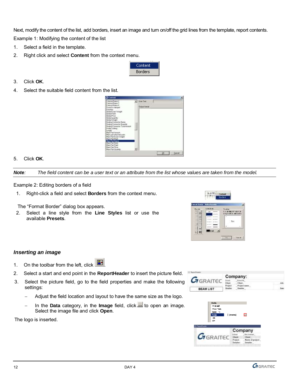Next, modify the content of the list, add borders, insert an image and turn on/off the grid lines from the template, report contents.

Example 1: Modifying the content of the list

- 1. Select a field in the template.
- 2. Right click and select **Content** from the context menu.



- 3. Click **OK**.
- 4. Select the suitable field content from the list.



#### 5. Click **OK**.

*Note: The field content can be a user text or an attribute from the list whose values are taken from the model.* 

Example 2: Editing borders of a field

1. Right-click a field and select **Borders** from the context menu.

The "Format Border" dialog box appears.

2. Select a line style from the **Line Styles** list or use the available **Presets**.



#### *Inserting an image*

- 1. On the toolbar from the left, click  $\boxed{3}$
- 2. Select a start and end point in the **ReportHeader** to insert the picture field.
- 3. Select the picture field, go to the field properties and make the following settings:
	- Adjust the field location and layout to have the same size as the logo.
	- In the **Data** category, in the Image field, click in to open an image. Select the image file and click **Open**.

The logo is inserted.





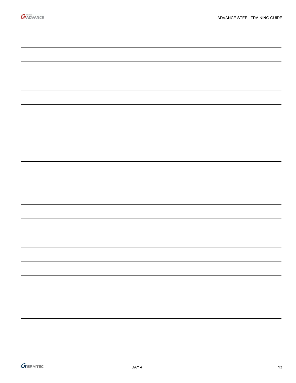| $G$ ADVANCE |  |  |  |
|-------------|--|--|--|
|             |  |  |  |
|             |  |  |  |
|             |  |  |  |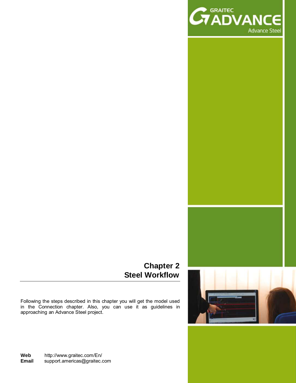

## **Chapter 2 Steel Workflow**

Following the steps described in this chapter you will get the model used in the Connection chapter. Also, you can use it as guidelines in approaching an Advance Steel project.



Web http://www.graitec.com/En/<br>**Email** support.americas@graitec.o **Email** [support.americas@graitec.com](mailto:support.americas@graitec.com)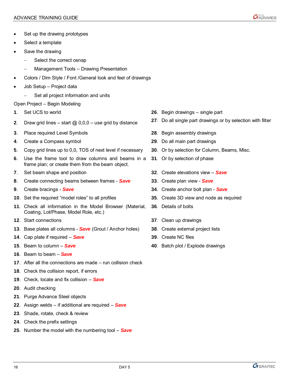

- Set up the drawing prototypes
- Select a template
- Save the drawing
	- Select the correct osnap
	- Management Tools Drawing Presentation
- Colors / Dim Style / Font /General look and feel of drawings
- Job Setup Project data
	- Set all project information and units
- Open Project Begin Modeling
- 
- 
- . Place required Level Symbols **28**. Begin assembly drawings
- . Create a Compass symbol **29**. Do all main part drawings
- . Copy grid lines up to 0,0, TOS of next level if necessary **30**. Or by selection for Column, Beams, Misc.
- . Use the frame tool to draw columns and beams in a frame plan; or create them from the beam object.
- 
- . Create connecting beams between frames *Save* **33**. Create plan view *Save*
- 
- . Set the required "model roles" to all profiles **35**. Create 3D view and node as required
- . Check all information in the Model Browser (Material, Coating, Lot/Phase, Model Role, etc.)
- 
- . Base plates all columns *Save* (Grout / Anchor holes) **38**. Create external project lists
- . Cap plate if required *Save* **39**. Create NC files
- 
- . Beam to beam *Save*
- . After all the connections are made run collision check
- . Check the collision report, if errors
- . Check, locate and fix collision *Save*
- . Audit checking
- . Purge Advance Steel objects
- . Assign welds if additional are required *Save*
- . Shade, rotate, check & review
- . Check the prefix settings
- . Number the model with the numbering tool *Save*
- . Set UCS to world **26**. Begin drawings single part
- . Draw grid lines start @ 0,0,0 use grid by distance **<sup>27</sup>**. Do all single part drawings or by selection with filter
	-
	-
	-
	- . Or by selection of phase
- . Set beam shape and position **32**. Create elevations view *Save*
	-
- . Create bracings *Save* **34**. Create anchor bolt plan *Save*
	-
	- . Details of bolts
- . Start connections **37**. Clean up drawings
	-
	-
- . Beam to column *Save* **40**. Batch plot / Explode drawings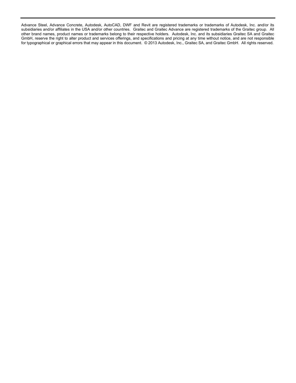Advance Steel, Advance Concrete, Autodesk, AutoCAD, DWF and Revit are registered trademarks or trademarks of Autodesk, Inc. and/or its subsidiaries and/or affiliates in the USA and/or other countries. Graitec and Graitec Advance are registered trademarks of the Graitec group. All other brand names, product names or trademarks belong to their respective holders. Autodesk, Inc. and its subsidiaries Graitec SA and Graitec GmbH, reserve the right to alter product and services offerings, and specifications and pricing at any time without notice, and are not responsible for typographical or graphical errors that may appear in this document. © 2013 Autodesk, Inc., Graitec SA, and Graitec GmbH. All rights reserved.